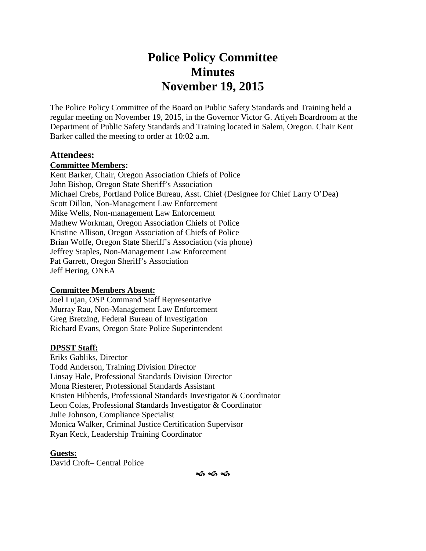# **Police Policy Committee Minutes November 19, 2015**

The Police Policy Committee of the Board on Public Safety Standards and Training held a regular meeting on November 19, 2015, in the Governor Victor G. Atiyeh Boardroom at the Department of Public Safety Standards and Training located in Salem, Oregon. Chair Kent Barker called the meeting to order at 10:02 a.m.

#### **Attendees:**

#### **Committee Members:**

Kent Barker, Chair, Oregon Association Chiefs of Police John Bishop, Oregon State Sheriff's Association Michael Crebs, Portland Police Bureau, Asst. Chief (Designee for Chief Larry O'Dea) Scott Dillon, Non-Management Law Enforcement Mike Wells, Non-management Law Enforcement Mathew Workman, Oregon Association Chiefs of Police Kristine Allison, Oregon Association of Chiefs of Police Brian Wolfe, Oregon State Sheriff's Association (via phone) Jeffrey Staples, Non-Management Law Enforcement Pat Garrett, Oregon Sheriff's Association Jeff Hering, ONEA

#### **Committee Members Absent:**

Joel Lujan, OSP Command Staff Representative Murray Rau, Non-Management Law Enforcement Greg Bretzing, Federal Bureau of Investigation Richard Evans, Oregon State Police Superintendent

#### **DPSST Staff:**

Eriks Gabliks, Director Todd Anderson, Training Division Director Linsay Hale, Professional Standards Division Director Mona Riesterer, Professional Standards Assistant Kristen Hibberds, Professional Standards Investigator & Coordinator Leon Colas, Professional Standards Investigator & Coordinator Julie Johnson, Compliance Specialist Monica Walker, Criminal Justice Certification Supervisor Ryan Keck, Leadership Training Coordinator

#### **Guests:**

David Croft– Central Police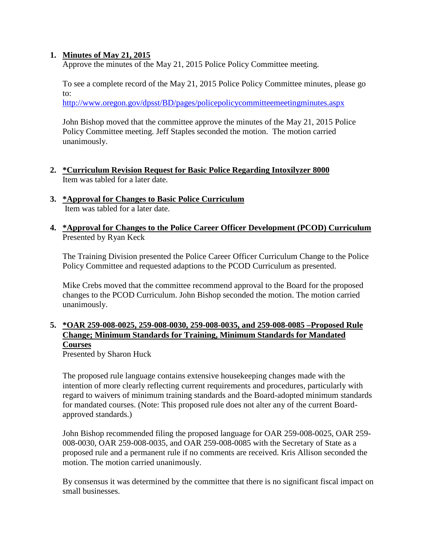#### **1. Minutes of May 21, 2015**

Approve the minutes of the May 21, 2015 Police Policy Committee meeting.

To see a complete record of the May 21, 2015 Police Policy Committee minutes, please go to:

http://www.oregon.gov/dpsst/BD/pages/policepolicycommitteemeetingminutes.aspx

John Bishop moved that the committee approve the minutes of the May 21, 2015 Police Policy Committee meeting. Jeff Staples seconded the motion. The motion carried unanimously.

- **2. \*Curriculum Revision Request for Basic Police Regarding Intoxilyzer 8000** Item was tabled for a later date.
- **3. \*Approval for Changes to Basic Police Curriculum** Item was tabled for a later date.
- **4. \*Approval for Changes to the Police Career Officer Development (PCOD) Curriculum** Presented by Ryan Keck

The Training Division presented the Police Career Officer Curriculum Change to the Police Policy Committee and requested adaptions to the PCOD Curriculum as presented.

Mike Crebs moved that the committee recommend approval to the Board for the proposed changes to the PCOD Curriculum. John Bishop seconded the motion. The motion carried unanimously.

### **5. \*OAR 259-008-0025, 259-008-0030, 259-008-0035, and 259-008-0085 –Proposed Rule Change; Minimum Standards for Training, Minimum Standards for Mandated Courses**

Presented by Sharon Huck

The proposed rule language contains extensive housekeeping changes made with the intention of more clearly reflecting current requirements and procedures, particularly with regard to waivers of minimum training standards and the Board-adopted minimum standards for mandated courses. (Note: This proposed rule does not alter any of the current Board approved standards.)

John Bishop recommended filing the proposed language for OAR 259-008-0025, OAR 259- 008-0030, OAR 259-008-0035, and OAR 259-008-0085 with the Secretary of State as a proposed rule and a permanent rule if no comments are received. Kris Allison seconded the motion. The motion carried unanimously.

By consensus it was determined by the committee that there is no significant fiscal impact on small businesses.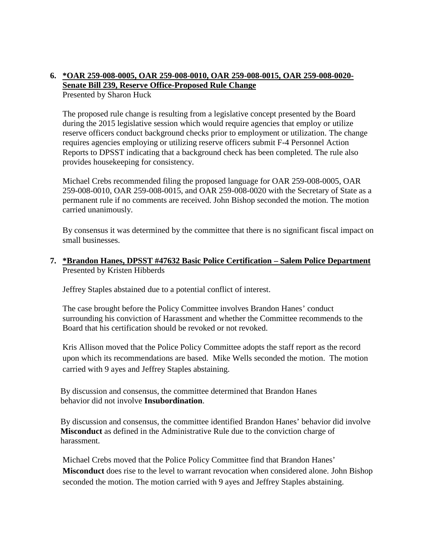#### **6. \*OAR 259-008-0005, OAR 259-008-0010, OAR 259-008-0015, OAR 259-008-0020- Senate Bill 239, Reserve Office-Proposed Rule Change** Presented by Sharon Huck

The proposed rule change is resulting from a legislative concept presented by the Board during the 2015 legislative session which would require agencies that employ or utilize reserve officers conduct background checks prior to employment or utilization. The change requires agencies employing or utilizing reserve officers submit F-4 Personnel Action Reports to DPSST indicating that a background check has been completed. The rule also provides housekeeping for consistency.

Michael Crebs recommended filing the proposed language for OAR 259-008-0005, OAR 259-008-0010, OAR 259-008-0015, and OAR 259-008-0020 with the Secretary of State as a permanent rule if no comments are received. John Bishop seconded the motion. The motion carried unanimously.

By consensus it was determined by the committee that there is no significant fiscal impact on small businesses.

#### **7. \*Brandon Hanes, DPSST #47632 Basic Police Certification – Salem Police Department** Presented by Kristen Hibberds

Jeffrey Staples abstained due to a potential conflict of interest.

The case brought before the Policy Committee involves Brandon Hanes' conduct surrounding his conviction of Harassment and whether the Committee recommends to the Board that his certification should be revoked or not revoked.

Kris Allison moved that the Police Policy Committee adopts the staff report as the record upon which its recommendations are based. Mike Wells seconded the motion. The motion carried with 9 ayes and Jeffrey Staples abstaining.

By discussion and consensus, the committee determined that Brandon Hanes behavior did not involve **Insubordination**.

By discussion and consensus, the committee identified Brandon Hanes' behavior did involve **Misconduct** as defined in the Administrative Rule due to the conviction charge of harassment.

Michael Crebs moved that the Police Policy Committee find that Brandon Hanes' **Misconduct** does rise to the level to warrant revocation when considered alone. John Bishop seconded the motion. The motion carried with 9 ayes and Jeffrey Staples abstaining.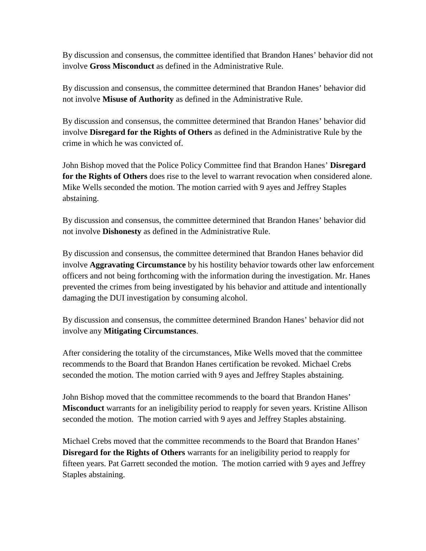By discussion and consensus, the committee identified that Brandon Hanes' behavior did not involve **Gross Misconduct** as defined in the Administrative Rule.

By discussion and consensus, the committee determined that Brandon Hanes' behavior did not involve **Misuse of Authority** as defined in the Administrative Rule.

By discussion and consensus, the committee determined that Brandon Hanes' behavior did involve **Disregard for the Rights of Others** as defined in the Administrative Rule by the crime in which he was convicted of.

John Bishop moved that the Police Policy Committee find that Brandon Hanes' **Disregard for the Rights of Others** does rise to the level to warrant revocation when considered alone. Mike Wells seconded the motion. The motion carried with 9 ayes and Jeffrey Staples abstaining.

By discussion and consensus, the committee determined that Brandon Hanes' behavior did not involve **Dishonesty** as defined in the Administrative Rule.

By discussion and consensus, the committee determined that Brandon Hanes behavior did involve **Aggravating Circumstance** by his hostility behavior towards other law enforcement officers and not being forthcoming with the information during the investigation. Mr. Hanes prevented the crimes from being investigated by his behavior and attitude and intentionally damaging the DUI investigation by consuming alcohol.

By discussion and consensus, the committee determined Brandon Hanes' behavior did not involve any **Mitigating Circumstances**.

After considering the totality of the circumstances, Mike Wells moved that the committee recommends to the Board that Brandon Hanes certification be revoked. Michael Crebs seconded the motion. The motion carried with 9 ayes and Jeffrey Staples abstaining.

John Bishop moved that the committee recommends to the board that Brandon Hanes' **Misconduct** warrants for an ineligibility period to reapply for seven years. Kristine Allison seconded the motion. The motion carried with 9 ayes and Jeffrey Staples abstaining.

Michael Crebs moved that the committee recommends to the Board that Brandon Hanes' **Disregard for the Rights of Others** warrants for an ineligibility period to reapply for fifteen years. Pat Garrett seconded the motion. The motion carried with 9 ayes and Jeffrey Staples abstaining.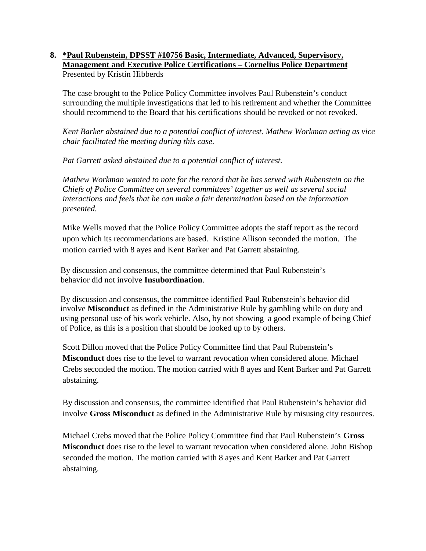#### **8. \*Paul Rubenstein, DPSST #10756 Basic, Intermediate, Advanced, Supervisory, Management and Executive Police Certifications – Cornelius Police Department** Presented by Kristin Hibberds

The case brought to the Police Policy Committee involves Paul Rubenstein's conduct surrounding the multiple investigations that led to his retirement and whether the Committee should recommend to the Board that his certifications should be revoked or not revoked.

*Kent Barker abstained due to a potential conflict of interest. Mathew Workman acting as vice chair facilitated the meeting during this case.*

*Pat Garrett asked abstained due to a potential conflict of interest.*

*Mathew Workman wanted to note for the record that he has served with Rubenstein on the Chiefs of Police Committee on several committees' together as well as several social interactions and feels that he can make a fair determination based on the information presented.*

Mike Wells moved that the Police Policy Committee adopts the staff report as the record upon which its recommendations are based. Kristine Allison seconded the motion. The motion carried with 8 ayes and Kent Barker and Pat Garrett abstaining.

By discussion and consensus, the committee determined that Paul Rubenstein's behavior did not involve **Insubordination**.

By discussion and consensus, the committee identified Paul Rubenstein's behavior did involve **Misconduct** as defined in the Administrative Rule by gambling while on duty and using personal use of his work vehicle. Also, by not showing a good example of being Chief of Police, as this is a position that should be looked up to by others.

Scott Dillon moved that the Police Policy Committee find that Paul Rubenstein's **Misconduct** does rise to the level to warrant revocation when considered alone. Michael Crebs seconded the motion. The motion carried with 8 ayes and Kent Barker and Pat Garrett abstaining.

By discussion and consensus, the committee identified that Paul Rubenstein's behavior did involve **Gross Misconduct** as defined in the Administrative Rule by misusing city resources.

Michael Crebs moved that the Police Policy Committee find that Paul Rubenstein's **Gross Misconduct** does rise to the level to warrant revocation when considered alone. John Bishop seconded the motion. The motion carried with 8 ayes and Kent Barker and Pat Garrett abstaining.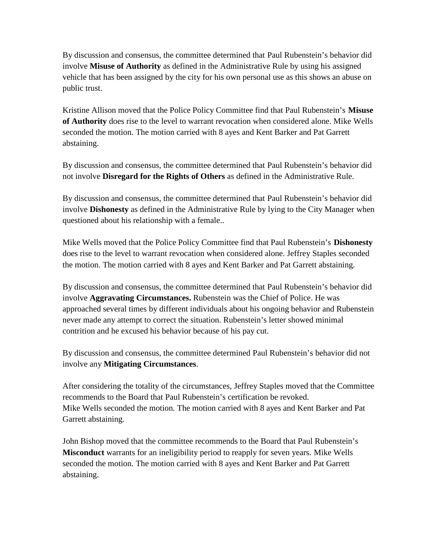By discussion and consensus, the committee determined that Paul Rubenstein's behavior did involve **Misuse of Authority** as defined in the Administrative Rule by using his assigned vehicle that has been assigned by the city for his own personal use as this shows an abuse on public trust.

Kristine Allison moved that the Police Policy Committee find that Paul Rubenstein's **Misuse of Authority** does rise to the level to warrant revocation when considered alone. Mike Wells seconded the motion. The motion carried with 8 ayes and Kent Barker and Pat Garrett abstaining.

By discussion and consensus, the committee determined that Paul Rubenstein's behavior did not involve **Disregard for the Rights of Others** as defined in the Administrative Rule.

By discussion and consensus, the committee determined that Paul Rubenstein's behavior did involve **Dishonesty** as defined in the Administrative Rule by lying to the City Manager when questioned about his relationship with a female..

Mike Wells moved that the Police Policy Committee find that Paul Rubenstein's **Dishonesty** does rise to the level to warrant revocation when considered alone. Jeffrey Staples seconded the motion. The motion carried with 8 ayes and Kent Barker and Pat Garrett abstaining.

By discussion and consensus, the committee determined that Paul Rubenstein's behavior did involve **Aggravating Circumstances.** Rubenstein was the Chief of Police. He was approached several times by different individuals about his ongoing behavior and Rubenstein never made any attempt to correct the situation. Rubenstein's letter showed minimal contrition and he excused his behavior because of his pay cut.

By discussion and consensus, the committee determined Paul Rubenstein's behavior did not involve any **Mitigating Circumstances**.

After considering the totality of the circumstances, Jeffrey Staples moved that the Committee recommends to the Board that Paul Rubenstein's certification be revoked. Mike Wells seconded the motion. The motion carried with 8 ayes and Kent Barker and Pat Garrett abstaining.

John Bishop moved that the committee recommends to the Board that Paul Rubenstein's **Misconduct** warrants for an ineligibility period to reapply for seven years. Mike Wells seconded the motion. The motion carried with 8 ayes and Kent Barker and Pat Garrett abstaining.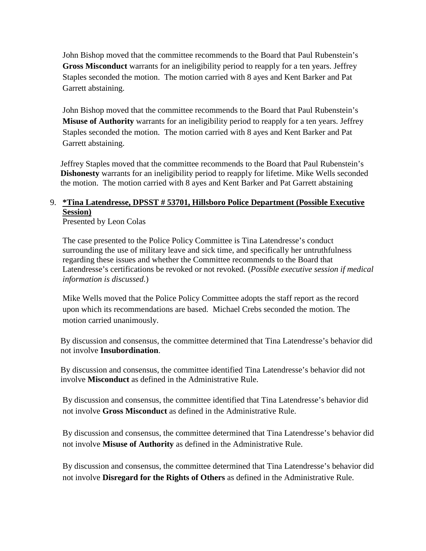John Bishop moved that the committee recommends to the Board that Paul Rubenstein's **Gross Misconduct** warrants for an ineligibility period to reapply for a ten years. Jeffrey Staples seconded the motion. The motion carried with 8 ayes and Kent Barker and Pat Garrett abstaining.

John Bishop moved that the committee recommends to the Board that Paul Rubenstein's **Misuse of Authority** warrants for an ineligibility period to reapply for a ten years. Jeffrey Staples seconded the motion. The motion carried with 8 ayes and Kent Barker and Pat Garrett abstaining.

Jeffrey Staples moved that the committee recommends to the Board that Paul Rubenstein's **Dishonesty** warrants for an ineligibility period to reapply for lifetime. Mike Wells seconded the motion. The motion carried with 8 ayes and Kent Barker and Pat Garrett abstaining

## 9. **\*Tina Latendresse, DPSST # 53701, Hillsboro Police Department (Possible Executive Session)**

Presented by Leon Colas

The case presented to the Police Policy Committee is Tina Latendresse's conduct surrounding the use of military leave and sick time, and specifically her untruthfulness regarding these issues and whether the Committee recommends to the Board that Latendresse's certifications be revoked or not revoked. (*Possible executive session if medical information is discussed.*)

Mike Wells moved that the Police Policy Committee adopts the staff report as the record upon which its recommendations are based. Michael Crebs seconded the motion. The motion carried unanimously.

By discussion and consensus, the committee determined that Tina Latendresse's behavior did not involve **Insubordination**.

By discussion and consensus, the committee identified Tina Latendresse's behavior did not involve **Misconduct** as defined in the Administrative Rule.

By discussion and consensus, the committee identified that Tina Latendresse's behavior did not involve **Gross Misconduct** as defined in the Administrative Rule.

By discussion and consensus, the committee determined that Tina Latendresse's behavior did not involve **Misuse of Authority** as defined in the Administrative Rule.

By discussion and consensus, the committee determined that Tina Latendresse's behavior did not involve **Disregard for the Rights of Others** as defined in the Administrative Rule.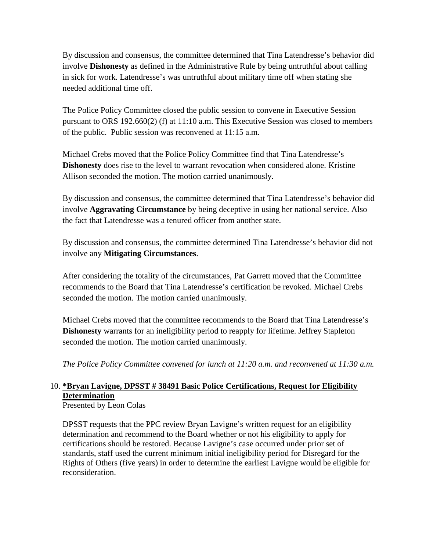By discussion and consensus, the committee determined that Tina Latendresse's behavior did involve **Dishonesty** as defined in the Administrative Rule by being untruthful about calling in sick for work. Latendresse's was untruthful about military time off when stating she needed additional time off.

The Police Policy Committee closed the public session to convene in Executive Session pursuant to ORS 192.660(2) (f) at 11:10 a.m. This Executive Session was closed to members of the public. Public session was reconvened at 11:15 a.m.

Michael Crebs moved that the Police Policy Committee find that Tina Latendresse's **Dishonesty** does rise to the level to warrant revocation when considered alone. Kristine Allison seconded the motion. The motion carried unanimously.

By discussion and consensus, the committee determined that Tina Latendresse's behavior did involve **Aggravating Circumstance** by being deceptive in using her national service. Also the fact that Latendresse was a tenured officer from another state.

By discussion and consensus, the committee determined Tina Latendresse's behavior did not involve any **Mitigating Circumstances**.

After considering the totality of the circumstances, Pat Garrett moved that the Committee recommends to the Board that Tina Latendresse's certification be revoked. Michael Crebs seconded the motion. The motion carried unanimously.

Michael Crebs moved that the committee recommends to the Board that Tina Latendresse's **Dishonesty** warrants for an ineligibility period to reapply for lifetime. Jeffrey Stapleton seconded the motion. The motion carried unanimously.

*The Police Policy Committee convened for lunch at 11:20 a.m. and reconvened at 11:30 a.m.*

# 10. **\*Bryan Lavigne, DPSST # 38491 Basic Police Certifications, Request for Eligibility Determination**

Presented by Leon Colas

DPSST requests that the PPC review Bryan Lavigne's written request for an eligibility determination and recommend to the Board whether or not his eligibility to apply for certifications should be restored. Because Lavigne's case occurred under prior set of standards, staff used the current minimum initial ineligibility period for Disregard for the Rights of Others (five years) in order to determine the earliest Lavigne would be eligible for reconsideration.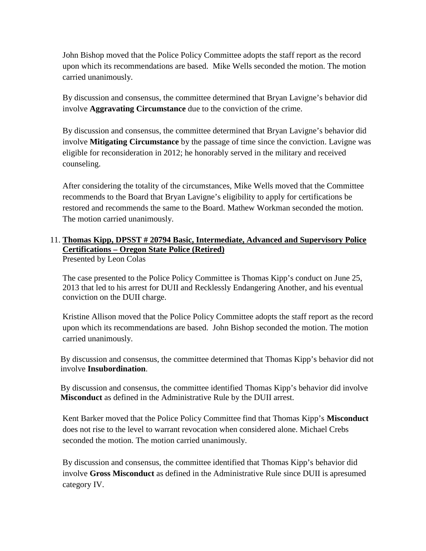John Bishop moved that the Police Policy Committee adopts the staff report as the record upon which its recommendations are based. Mike Wells seconded the motion. The motion carried unanimously.

By discussion and consensus, the committee determined that Bryan Lavigne's behavior did involve **Aggravating Circumstance** due to the conviction of the crime.

By discussion and consensus, the committee determined that Bryan Lavigne's behavior did involve **Mitigating Circumstance** by the passage of time since the conviction. Lavigne was eligible for reconsideration in 2012; he honorably served in the military and received counseling.

After considering the totality of the circumstances, Mike Wells moved that the Committee recommends to the Board that Bryan Lavigne's eligibility to apply for certifications be restored and recommends the same to the Board. Mathew Workman seconded the motion. The motion carried unanimously.

# 11. **Thomas Kipp, DPSST # 20794 Basic, Intermediate, Advanced and Supervisory Police Certifications – Oregon State Police (Retired)**

Presented by Leon Colas

The case presented to the Police Policy Committee is Thomas Kipp's conduct on June 25, 2013 that led to his arrest for DUII and Recklessly Endangering Another, and his eventual conviction on the DUII charge.

Kristine Allison moved that the Police Policy Committee adopts the staff report as the record upon which its recommendations are based. John Bishop seconded the motion. The motion carried unanimously.

By discussion and consensus, the committee determined that Thomas Kipp's behavior did not involve **Insubordination**.

By discussion and consensus, the committee identified Thomas Kipp's behavior did involve **Misconduct** as defined in the Administrative Rule by the DUII arrest.

Kent Barker moved that the Police Policy Committee find that Thomas Kipp's **Misconduct** does not rise to the level to warrant revocation when considered alone. Michael Crebs seconded the motion. The motion carried unanimously.

By discussion and consensus, the committee identified that Thomas Kipp's behavior did involve **Gross Misconduct** as defined in the Administrative Rule since DUII is apresumed category IV.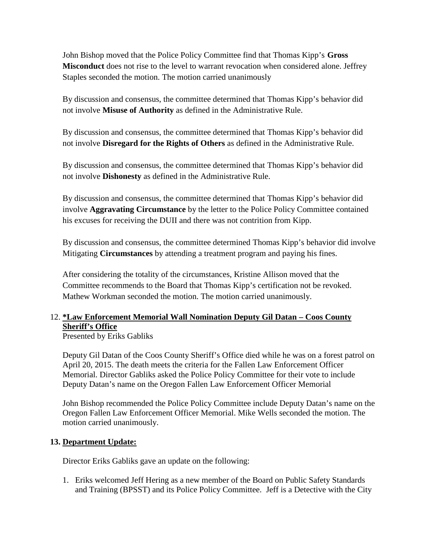John Bishop moved that the Police Policy Committee find that Thomas Kipp's **Gross Misconduct** does not rise to the level to warrant revocation when considered alone. Jeffrey Staples seconded the motion. The motion carried unanimously

By discussion and consensus, the committee determined that Thomas Kipp's behavior did not involve **Misuse of Authority** as defined in the Administrative Rule.

By discussion and consensus, the committee determined that Thomas Kipp's behavior did not involve **Disregard for the Rights of Others** as defined in the Administrative Rule.

By discussion and consensus, the committee determined that Thomas Kipp's behavior did not involve **Dishonesty** as defined in the Administrative Rule.

By discussion and consensus, the committee determined that Thomas Kipp's behavior did involve **Aggravating Circumstance** by the letter to the Police Policy Committee contained his excuses for receiving the DUII and there was not contrition from Kipp.

By discussion and consensus, the committee determined Thomas Kipp's behavior did involve Mitigating **Circumstances** by attending a treatment program and paying his fines.

After considering the totality of the circumstances, Kristine Allison moved that the Committee recommends to the Board that Thomas Kipp's certification not be revoked. Mathew Workman seconded the motion. The motion carried unanimously.

### 12. **\*Law Enforcement Memorial Wall Nomination Deputy Gil Datan – Coos County Sheriff's Office**

Presented by Eriks Gabliks

Deputy Gil Datan of the Coos County Sheriff's Office died while he was on a forest patrol on April 20, 2015. The death meets the criteria for the Fallen Law Enforcement Officer Memorial. Director Gabliks asked the Police Policy Committee for their vote to include Deputy Datan's name on the Oregon Fallen Law Enforcement Officer Memorial

John Bishop recommended the Police Policy Committee include Deputy Datan's name on the Oregon Fallen Law Enforcement Officer Memorial. Mike Wells seconded the motion. The motion carried unanimously.

### **13. Department Update:**

Director Eriks Gabliks gave an update on the following:

1. Eriks welcomed Jeff Hering as a new member of the Board on Public Safety Standards and Training (BPSST) and its Police Policy Committee. Jeff is a Detective with the City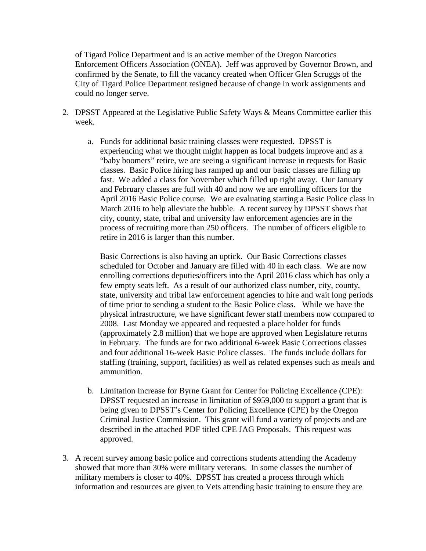of Tigard Police Department and is an active member of the Oregon Narcotics Enforcement Officers Association (ONEA). Jeff was approved by Governor Brown, and confirmed by the Senate, to fill the vacancy created when Officer Glen Scruggs of the City of Tigard Police Department resigned because of change in work assignments and could no longer serve.

- 2. DPSST Appeared at the Legislative Public Safety Ways & Means Committee earlier this week.
	- a. Funds for additional basic training classes were requested. DPSST is experiencing what we thought might happen as local budgets improve and as a "baby boomers" retire, we are seeing a significant increase in requests for Basic classes. Basic Police hiring has ramped up and our basic classes are filling up fast. We added a class for November which filled up right away. Our January and February classes are full with 40 and now we are enrolling officers for the April 2016 Basic Police course. We are evaluating starting a Basic Police class in March 2016 to help alleviate the bubble. A recent survey by DPSST shows that city, county, state, tribal and university law enforcement agencies are in the process of recruiting more than 250 officers. The number of officers eligible to retire in 2016 is larger than this number.

Basic Corrections is also having an uptick. Our Basic Corrections classes scheduled for October and January are filled with 40 in each class. We are now enrolling corrections deputies/officers into the April 2016 class which has only a few empty seats left. As a result of our authorized class number, city, county, state, university and tribal law enforcement agencies to hire and wait long periods of time prior to sending a student to the Basic Police class. While we have the physical infrastructure, we have significant fewer staff members now compared to 2008. Last Monday we appeared and requested a place holder for funds (approximately 2.8 million) that we hope are approved when Legislature returns in February. The funds are for two additional 6-week Basic Corrections classes and four additional 16-week Basic Police classes. The funds include dollars for staffing (training, support, facilities) as well as related expenses such as meals and ammunition.

- b. Limitation Increase for Byrne Grant for Center for Policing Excellence (CPE): DPSST requested an increase in limitation of \$959,000 to support a grant that is being given to DPSST's Center for Policing Excellence (CPE) by the Oregon Criminal Justice Commission. This grant will fund a variety of projects and are described in the attached PDF titled CPE JAG Proposals. This request was approved.
- 3. A recent survey among basic police and corrections students attending the Academy showed that more than 30% were military veterans. In some classes the number of military members is closer to 40%. DPSST has created a process through which information and resources are given to Vets attending basic training to ensure they are